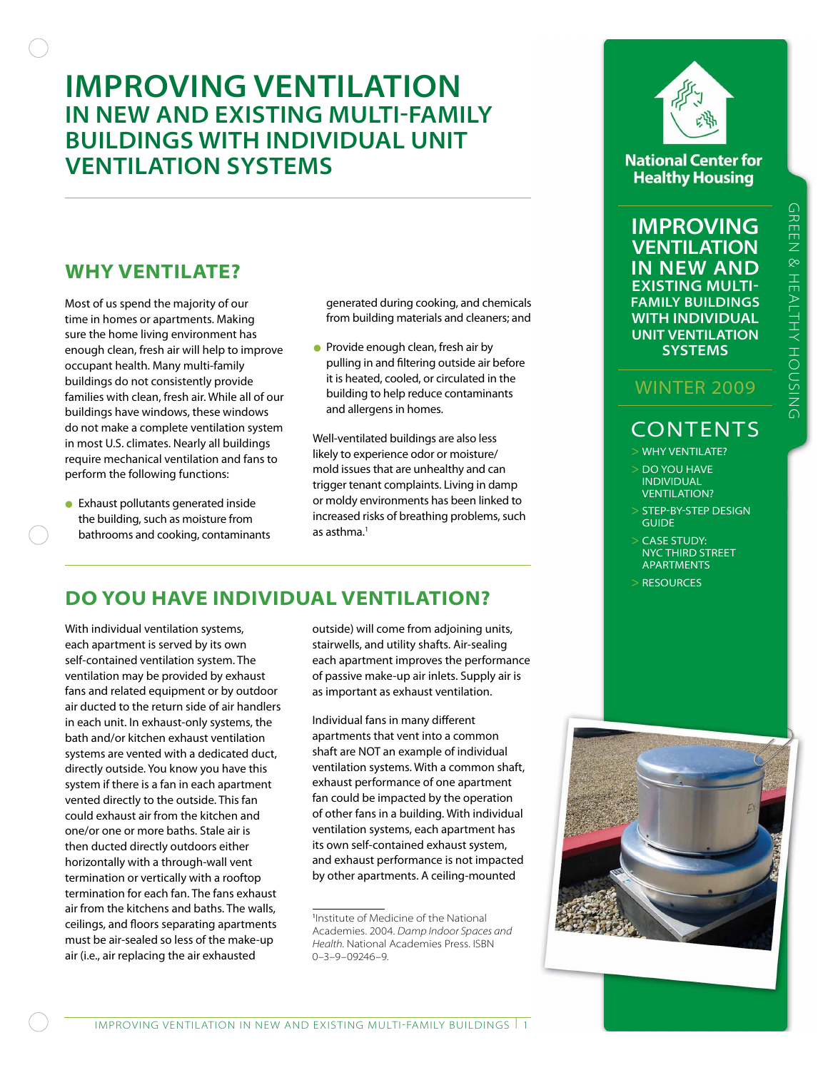# **Improving Ventilation in New and Existing Multi-Family Buildings with Individual Unit Ventilation Systems**

# **Why Ventilate?**

Most of us spend the majority of our time in homes or apartments. Making sure the home living environment has enough clean, fresh air will help to improve occupant health. Many multi-family buildings do not consistently provide families with clean, fresh air. While all of our buildings have windows, these windows do not make a complete ventilation system in most U.S. climates. Nearly all buildings require mechanical ventilation and fans to perform the following functions:

• Exhaust pollutants generated inside the building, such as moisture from bathrooms and cooking, contaminants generated during cooking, and chemicals from building materials and cleaners; and

• Provide enough clean, fresh air by pulling in and filtering outside air before it is heated, cooled, or circulated in the building to help reduce contaminants and allergens in homes.

Well-ventilated buildings are also less likely to experience odor or moisture/ mold issues that are unhealthy and can trigger tenant complaints. Living in damp or moldy environments has been linked to increased risks of breathing problems, such as asthma.<sup>1</sup>

# **Do You Have Individual Ventilation?**

With individual ventilation systems, each apartment is served by its own self-contained ventilation system. The ventilation may be provided by exhaust fans and related equipment or by outdoor air ducted to the return side of air handlers in each unit. In exhaust-only systems, the bath and/or kitchen exhaust ventilation systems are vented with a dedicated duct, directly outside. You know you have this system if there is a fan in each apartment vented directly to the outside. This fan could exhaust air from the kitchen and one/or one or more baths. Stale air is then ducted directly outdoors either horizontally with a through-wall vent termination or vertically with a rooftop termination for each fan. The fans exhaust air from the kitchens and baths. The walls, ceilings, and floors separating apartments must be air-sealed so less of the make-up air (i.e., air replacing the air exhausted

outside) will come from adjoining units, stairwells, and utility shafts. Air-sealing each apartment improves the performance of passive make-up air inlets. Supply air is as important as exhaust ventilation.

Individual fans in many different apartments that vent into a common shaft are NOT an example of individual ventilation systems. With a common shaft, exhaust performance of one apartment fan could be impacted by the operation of other fans in a building. With individual ventilation systems, each apartment has its own self-contained exhaust system, and exhaust performance is not impacted by other apartments. A ceiling-mounted



**National Center for Healthy Housing** 

**improving ventilation in new and Existing multifamily buildings with individual unit ventilation systems**

## Winter 2009

# **CONTENTS**

- > Why ventilate?
- > Do you have **INDIVIDUAL VENTILATION?**
- > step-by-step design **GUIDE**
- > Case study: NYC Third Street **APARTMENTS**
- > Resources



<sup>1</sup> Institute of Medicine of the National Academies. 2004. *Damp Indoor Spaces and Health*. National Academies Press. ISBN 0–3–9–09246–9.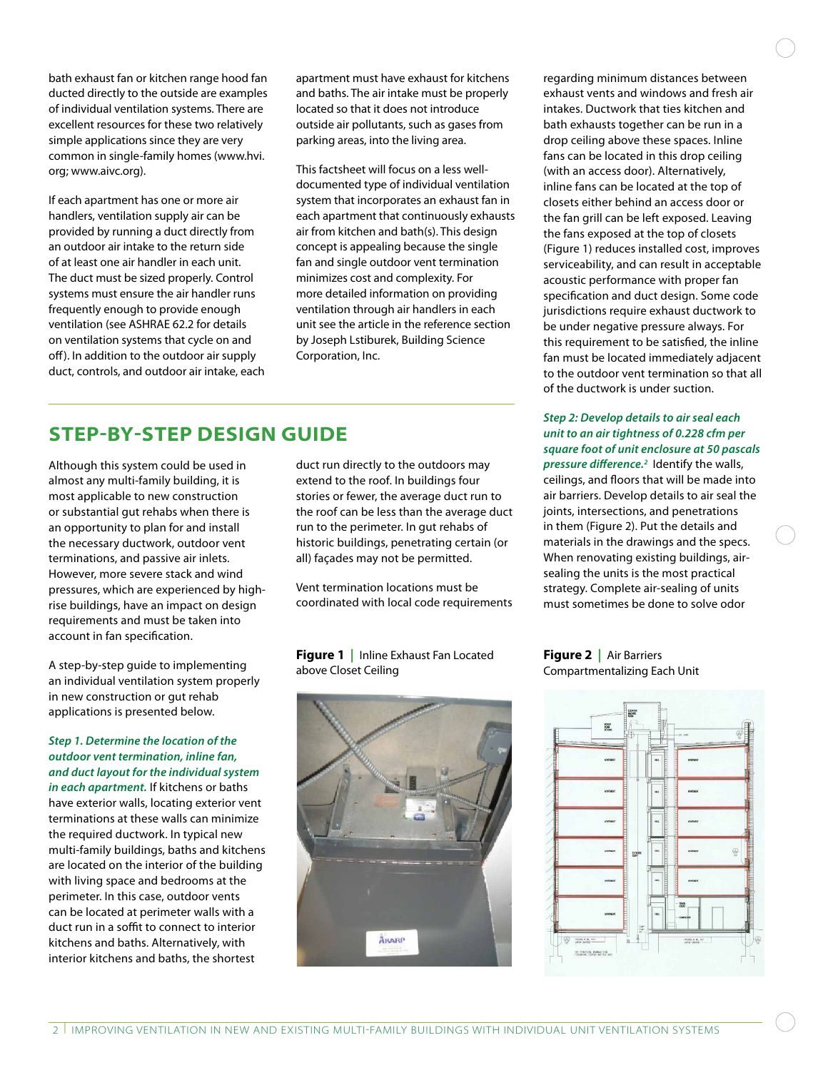bath exhaust fan or kitchen range hood fan ducted directly to the outside are examples of individual ventilation systems. There are excellent resources for these two relatively simple applications since they are very common in single-family homes (www.hvi. org; www.aivc.org).

If each apartment has one or more air handlers, ventilation supply air can be provided by running a duct directly from an outdoor air intake to the return side of at least one air handler in each unit. The duct must be sized properly. Control systems must ensure the air handler runs frequently enough to provide enough ventilation (see ASHRAE 62.2 for details on ventilation systems that cycle on and off). In addition to the outdoor air supply duct, controls, and outdoor air intake, each apartment must have exhaust for kitchens and baths. The air intake must be properly located so that it does not introduce outside air pollutants, such as gases from parking areas, into the living area.

This factsheet will focus on a less welldocumented type of individual ventilation system that incorporates an exhaust fan in each apartment that continuously exhausts air from kitchen and bath(s). This design concept is appealing because the single fan and single outdoor vent termination minimizes cost and complexity. For more detailed information on providing ventilation through air handlers in each unit see the article in the reference section by Joseph Lstiburek, Building Science Corporation, Inc.

## **Step-by-Step Design Guide**

Although this system could be used in almost any multi-family building, it is most applicable to new construction or substantial gut rehabs when there is an opportunity to plan for and install the necessary ductwork, outdoor vent terminations, and passive air inlets. However, more severe stack and wind pressures, which are experienced by highrise buildings, have an impact on design requirements and must be taken into account in fan specification.

A step-by-step guide to implementing an individual ventilation system properly in new construction or gut rehab applications is presented below.

### *Step 1. Determine the location of the outdoor vent termination, inline fan, and duct layout for the individual system*

*in each apartment.* If kitchens or baths have exterior walls, locating exterior vent terminations at these walls can minimize the required ductwork. In typical new multi-family buildings, baths and kitchens are located on the interior of the building with living space and bedrooms at the perimeter. In this case, outdoor vents can be located at perimeter walls with a duct run in a soffit to connect to interior kitchens and baths. Alternatively, with interior kitchens and baths, the shortest

duct run directly to the outdoors may extend to the roof. In buildings four stories or fewer, the average duct run to the roof can be less than the average duct run to the perimeter. In gut rehabs of historic buildings, penetrating certain (or all) façades may not be permitted.

Vent termination locations must be coordinated with local code requirements

**Figure 1** | Inline Exhaust Fan Located above Closet Ceiling



regarding minimum distances between exhaust vents and windows and fresh air intakes. Ductwork that ties kitchen and bath exhausts together can be run in a drop ceiling above these spaces. Inline fans can be located in this drop ceiling (with an access door). Alternatively, inline fans can be located at the top of closets either behind an access door or the fan grill can be left exposed. Leaving the fans exposed at the top of closets (Figure 1) reduces installed cost, improves serviceability, and can result in acceptable acoustic performance with proper fan specification and duct design. Some code jurisdictions require exhaust ductwork to be under negative pressure always. For this requirement to be satisfied, the inline fan must be located immediately adjacent to the outdoor vent termination so that all of the ductwork is under suction.

### *Step 2: Develop details to air seal each unit to an air tightness of 0.228 cfm per square foot of unit enclosure at 50 pascals pressure difference.2* Identify the walls,

ceilings, and floors that will be made into air barriers. Develop details to air seal the joints, intersections, and penetrations in them (Figure 2). Put the details and materials in the drawings and the specs. When renovating existing buildings, airsealing the units is the most practical strategy. Complete air-sealing of units must sometimes be done to solve odor

**Figure 2 |** Air Barriers Compartmentalizing Each Unit

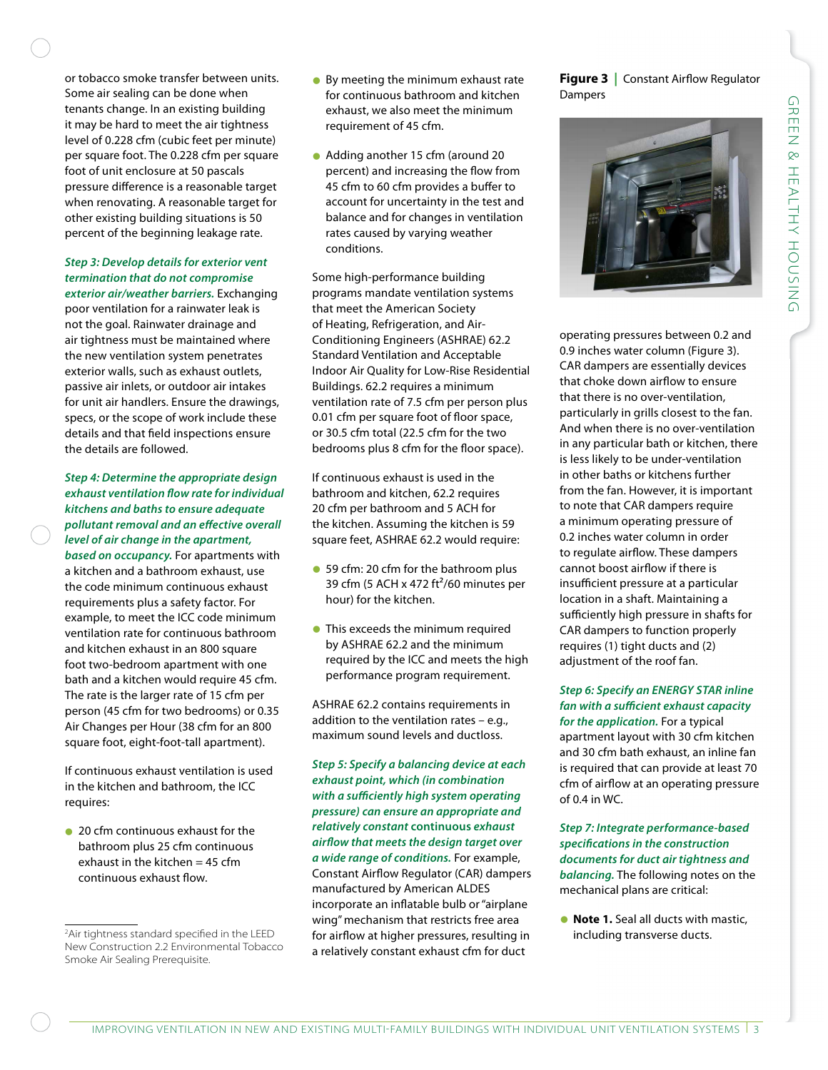or tobacco smoke transfer between units. Some air sealing can be done when tenants change. In an existing building it may be hard to meet the air tightness level of 0.228 cfm (cubic feet per minute) per square foot. The 0.228 cfm per square foot of unit enclosure at 50 pascals pressure difference is a reasonable target when renovating. A reasonable target for other existing building situations is 50 percent of the beginning leakage rate.

### *Step 3: Develop details for exterior vent termination that do not compromise*

*exterior air/weather barriers.* Exchanging poor ventilation for a rainwater leak is not the goal. Rainwater drainage and air tightness must be maintained where the new ventilation system penetrates exterior walls, such as exhaust outlets, passive air inlets, or outdoor air intakes for unit air handlers. Ensure the drawings, specs, or the scope of work include these details and that field inspections ensure the details are followed.

*Step 4: Determine the appropriate design exhaust ventilation flow rate for individual kitchens and baths to ensure adequate pollutant removal and an effective overall level of air change in the apartment, based on occupancy.* For apartments with a kitchen and a bathroom exhaust, use the code minimum continuous exhaust requirements plus a safety factor. For example, to meet the ICC code minimum ventilation rate for continuous bathroom and kitchen exhaust in an 800 square foot two-bedroom apartment with one bath and a kitchen would require 45 cfm. The rate is the larger rate of 15 cfm per person (45 cfm for two bedrooms) or 0.35 Air Changes per Hour (38 cfm for an 800

If continuous exhaust ventilation is used in the kitchen and bathroom, the ICC requires:

square foot, eight-foot-tall apartment).

• 20 cfm continuous exhaust for the bathroom plus 25 cfm continuous exhaust in the kitchen = 45 cfm continuous exhaust flow.

- By meeting the minimum exhaust rate for continuous bathroom and kitchen exhaust, we also meet the minimum requirement of 45 cfm.
- Adding another 15 cfm (around 20 percent) and increasing the flow from 45 cfm to 60 cfm provides a buffer to account for uncertainty in the test and balance and for changes in ventilation rates caused by varying weather conditions.

Some high-performance building programs mandate ventilation systems that meet the American Society of Heating, Refrigeration, and Air-Conditioning Engineers (ASHRAE) 62.2 Standard Ventilation and Acceptable Indoor Air Quality for Low-Rise Residential Buildings. 62.2 requires a minimum ventilation rate of 7.5 cfm per person plus 0.01 cfm per square foot of floor space, or 30.5 cfm total (22.5 cfm for the two bedrooms plus 8 cfm for the floor space).

If continuous exhaust is used in the bathroom and kitchen, 62.2 requires 20 cfm per bathroom and 5 ACH for the kitchen. Assuming the kitchen is 59 square feet, ASHRAE 62.2 would require:

- 59 cfm: 20 cfm for the bathroom plus 39 cfm (5 ACH x 472 ft<sup>2</sup>/60 minutes per hour) for the kitchen.
- This exceeds the minimum required by ASHRAE 62.2 and the minimum required by the ICC and meets the high performance program requirement.

ASHRAE 62.2 contains requirements in addition to the ventilation rates – e.g., maximum sound levels and ductloss.

*Step 5: Specify a balancing device at each exhaust point, which (in combination with a sufficiently high system operating pressure) can ensure an appropriate and relatively constant* **continuous** *exhaust airflow that meets the design target over a wide range of conditions.* For example, Constant Airflow Regulator (CAR) dampers manufactured by American ALDES incorporate an inflatable bulb or "airplane wing" mechanism that restricts free area for airflow at higher pressures, resulting in a relatively constant exhaust cfm for duct

**Figure 3** | Constant Airflow Regulator Dampers



operating pressures between 0.2 and 0.9 inches water column (Figure 3). CAR dampers are essentially devices that choke down airflow to ensure that there is no over-ventilation, particularly in grills closest to the fan. And when there is no over-ventilation in any particular bath or kitchen, there is less likely to be under-ventilation in other baths or kitchens further from the fan. However, it is important to note that CAR dampers require a minimum operating pressure of 0.2 inches water column in order to regulate airflow. These dampers cannot boost airflow if there is insufficient pressure at a particular location in a shaft. Maintaining a sufficiently high pressure in shafts for CAR dampers to function properly requires (1) tight ducts and (2) adjustment of the roof fan.

*Step 6: Specify an ENERGY STAR inline fan with a sufficient exhaust capacity for the application.* For a typical apartment layout with 30 cfm kitchen and 30 cfm bath exhaust, an inline fan is required that can provide at least 70 cfm of airflow at an operating pressure of 0.4 in WC.

*Step 7: Integrate performance-based specifications in the construction documents for duct air tightness and balancing.* The following notes on the mechanical plans are critical:

• **Note 1.** Seal all ducts with mastic, including transverse ducts.

<sup>&</sup>lt;sup>2</sup>Air tightness standard specified in the LI New Construction 2.2 Environmental Tobacco Smoke Air Sealing Prerequisite.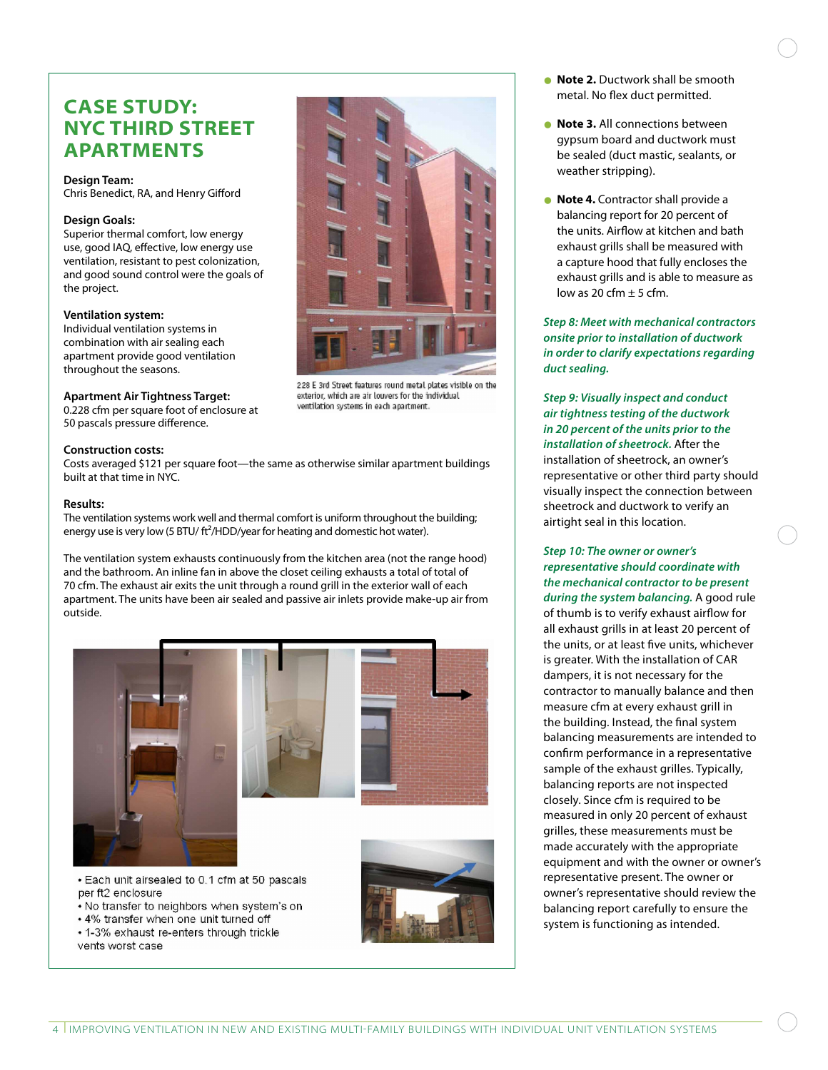## **Case Study: NYC Third Street Apartments**

#### **Design Team:**

Chris Benedict, RA, and Henry Gifford

### **Design Goals:**

Superior thermal comfort, low energy use, good IAQ, effective, low energy use ventilation, resistant to pest colonization, and good sound control were the goals of the project.

#### **Ventilation system:**

Individual ventilation systems in combination with air sealing each apartment provide good ventilation throughout the seasons.

### **Apartment Air Tightness Target:**

0.228 cfm per square foot of enclosure at 50 pascals pressure difference.

### **Construction costs:**

Costs averaged \$121 per square foot—the same as otherwise similar apartment buildings built at that time in NYC.

### **Results:**

The ventilation systems work well and thermal comfort is uniform throughout the building; energy use is very low (5 BTU/  $\text{ft}^2/\text{HDD}/\text{year}$  for heating and domestic hot water).

The ventilation system exhausts continuously from the kitchen area (not the range hood) and the bathroom. An inline fan in above the closet ceiling exhausts a total of total of 70 cfm. The exhaust air exits the unit through a round grill in the exterior wall of each apartment. The units have been air sealed and passive air inlets provide make-up air from outside.



. Each unit airsealed to 0.1 cfm at 50 pascals per ft2 enclosure

- No transfer to neighbors when system's on
- 4% transfer when one unit turned off
- 1-3% exhaust re-enters through trickle
- vents worst case



228 E 3rd Street features round metal plates visible on the exterior, which are air louvers for the individual ventilation systems in each apartment.

- **Note 2.** Ductwork shall be smooth metal. No flex duct permitted.
- **Note 3.** All connections between gypsum board and ductwork must be sealed (duct mastic, sealants, or weather stripping).
- **Note 4.** Contractor shall provide a balancing report for 20 percent of the units. Airflow at kitchen and bath exhaust grills shall be measured with a capture hood that fully encloses the exhaust grills and is able to measure as low as 20 cfm  $\pm$  5 cfm.

*Step 8: Meet with mechanical contractors onsite prior to installation of ductwork in order to clarify expectations regarding duct sealing.* 

*Step 9: Visually inspect and conduct air tightness testing of the ductwork in 20 percent of the units prior to the installation of sheetrock.* After the installation of sheetrock, an owner's representative or other third party should visually inspect the connection between sheetrock and ductwork to verify an airtight seal in this location.

### *Step 10: The owner or owner's representative should coordinate with the mechanical contractor to be present*

*during the system balancing.* A good rule of thumb is to verify exhaust airflow for all exhaust grills in at least 20 percent of the units, or at least five units, whichever is greater. With the installation of CAR dampers, it is not necessary for the contractor to manually balance and then measure cfm at every exhaust grill in the building. Instead, the final system balancing measurements are intended to confirm performance in a representative sample of the exhaust grilles. Typically, balancing reports are not inspected closely. Since cfm is required to be measured in only 20 percent of exhaust grilles, these measurements must be made accurately with the appropriate equipment and with the owner or owner's representative present. The owner or owner's representative should review the balancing report carefully to ensure the system is functioning as intended.